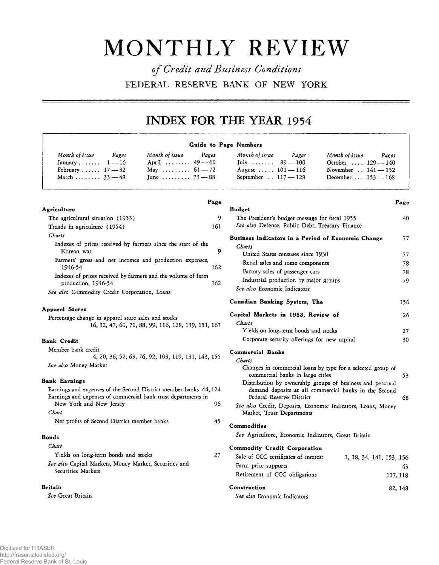# **MONTHLY REVIEW**

*of Credit and Business Conditions* **FEDERAL RESERVE BANK OF NEW YORK**

## **INDEX FOR THE YEAR 1954**

|                                                                                                                                                                                                                                                                                                           | Guide to Page Numbers                                                                                                                                                                                                                                                                                                                                                                           |  |  |  |
|-----------------------------------------------------------------------------------------------------------------------------------------------------------------------------------------------------------------------------------------------------------------------------------------------------------|-------------------------------------------------------------------------------------------------------------------------------------------------------------------------------------------------------------------------------------------------------------------------------------------------------------------------------------------------------------------------------------------------|--|--|--|
| Month of issue<br>Month of issue<br>Pages<br>Pages<br>April $49 - 60$<br>January $1 - 16$<br>May $61 - 72$<br>February $17 - 32$<br>June $73 - 88$<br>March $33 - 48$                                                                                                                                     | Month of issue<br>Pages<br>Month of issue<br>Pages<br>July $89 - 100$<br>October $129 - 140$<br>August $101 - 116$<br>November $. 141 - 152$<br>September . 117 - 128<br>December  153 - 168                                                                                                                                                                                                    |  |  |  |
| Page<br><b>Agriculture</b>                                                                                                                                                                                                                                                                                | Page<br><b>Budget</b>                                                                                                                                                                                                                                                                                                                                                                           |  |  |  |
| The agricultural situation (1953)<br>161<br>Trends in agriculture (1954)                                                                                                                                                                                                                                  | 9<br>The President's budget message for fiscal 1955<br>40<br>See also Defense, Public Debt, Treasury Finance                                                                                                                                                                                                                                                                                    |  |  |  |
| Charts<br>Indexes of prices received by farmers since the start of the                                                                                                                                                                                                                                    | Business Indicators in a Period of Economic Change<br>77<br>Charts<br>9                                                                                                                                                                                                                                                                                                                         |  |  |  |
| Korean war<br>Farmers' gross and net incomes and production expenses,<br>1946-54<br>162                                                                                                                                                                                                                   | United States censuses since 1930<br>Retail sales and some components<br>Factory sales of passenger cars<br>Industrial production by major groups<br>See also Economic Indicators                                                                                                                                                                                                               |  |  |  |
| Indexes of prices received by farmers and the volume of farm<br>162<br>production, 1946-54                                                                                                                                                                                                                |                                                                                                                                                                                                                                                                                                                                                                                                 |  |  |  |
| See also Commodity Credit Corporation, Loans                                                                                                                                                                                                                                                              | Canadian Banking System, The<br>156                                                                                                                                                                                                                                                                                                                                                             |  |  |  |
| <b>Apparel Stores</b><br>Percentage change in apparel store sales and stocks<br>16, 32, 47, 60, 71, 88, 99, 116, 128, 139, 151, 167                                                                                                                                                                       | Capital Markets in 1953, Review of<br>26<br>Charts<br>Yields on long-term bonds and stocks                                                                                                                                                                                                                                                                                                      |  |  |  |
| <b>Bank Credit</b>                                                                                                                                                                                                                                                                                        | 27<br>Corporate security offerings for new capital<br>30                                                                                                                                                                                                                                                                                                                                        |  |  |  |
| Member bank credit<br>4, 20, 36, 52, 63, 76, 92, 103, 119, 131, 143, 155<br>See also Money Market<br><b>Bank Earnings</b><br>Earnings and expenses of the Second District member banks 44, 124<br>Earnings and expenses of commercial bank trust departments in<br>New York and New Jersey<br>96<br>Chart | <b>Commercial Banks</b><br>Charts<br>Changes in commercial loans by type for a selected group of<br>commercial banks in large cities<br>53<br>Distribution by ownership groups of business and personal<br>demand deposits at all commercial banks in the Second<br>Federal Reserve District<br>68<br>See also Credit, Deposits, Economic Indicators, Loans, Money<br>Market, Trust Departments |  |  |  |
| Net profits of Second District member banks<br>45                                                                                                                                                                                                                                                         | Commodities                                                                                                                                                                                                                                                                                                                                                                                     |  |  |  |
| Bonds                                                                                                                                                                                                                                                                                                     | See Agriculture, Economic Indicators, Great Britain                                                                                                                                                                                                                                                                                                                                             |  |  |  |
| Chart<br>Yields on long-term bonds and stocks<br>27<br>See also Capital Markets, Money Market, Securities and<br>Securities Markets                                                                                                                                                                       | <b>Commodity Credit Corporation</b><br>Sale of CCC certificates of interest<br>1, 18, 34, 141, 153, 156<br>Farm price supports<br>43<br>Retirement of CCC obligations<br>117, 118                                                                                                                                                                                                               |  |  |  |
| <b>Britain</b><br>See Great Britain                                                                                                                                                                                                                                                                       | Construction<br>82, 148<br>See also Economic Indicators                                                                                                                                                                                                                                                                                                                                         |  |  |  |

Digitized for FRASER http://fraser.stlouisfed.org/ Federal Reserve Bank of St. Louis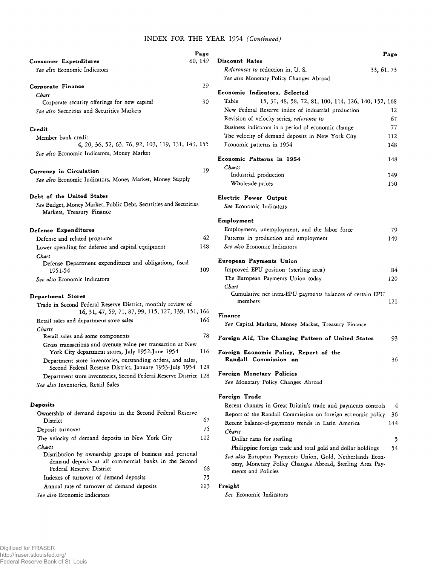#### **INDEX FOR THE YEAR 1954** *(Continued)*

|                                                                                                                 | Page    |                                                                                                                      | Page |
|-----------------------------------------------------------------------------------------------------------------|---------|----------------------------------------------------------------------------------------------------------------------|------|
| Consumer Expenditures                                                                                           | 80, 149 | Discount Rates                                                                                                       |      |
| See also Economic Indicators                                                                                    |         | References to reduction in, U.S.<br>33, 61, 73                                                                       |      |
|                                                                                                                 |         | See also Monetary Policy Changes Abroad                                                                              |      |
| Corporate Finance                                                                                               | 29      |                                                                                                                      |      |
| Chart                                                                                                           |         | Economic Indicators, Selected                                                                                        |      |
| Corporate security offerings for new capital                                                                    | 30      | Table<br>15, 31, 48, 58, 72, 81, 100, 114, 126, 140, 152, 168                                                        |      |
| See also Securities and Securities Markets                                                                      |         | New Federal Reserve index of industrial production                                                                   | 12   |
|                                                                                                                 |         | Revision of velocity series, reference to                                                                            | 67   |
| Credit                                                                                                          |         | Business indicators in a period of economic change                                                                   | 77   |
| Member bank credit                                                                                              |         | The velocity of demand deposits in New York City                                                                     | 112  |
| 4, 20, 36, 52, 63, 76, 92, 103, 119, 131, 143, 155                                                              |         | Economic patterns in 1954                                                                                            | 148  |
| See also Economic Indicators, Money Market                                                                      |         | Economic Patterns in 1954                                                                                            | 148  |
|                                                                                                                 | 19      | Charts                                                                                                               |      |
| <b>Currency in Circulation</b>                                                                                  |         | Industrial production                                                                                                | 149  |
| See also Economic Indicators, Money Market, Money Supply                                                        |         | Wholesale prices                                                                                                     | 150  |
| Debt of the United States                                                                                       |         | Electric Power Output                                                                                                |      |
| See Budget, Money Market, Public Debt, Securities and Securities<br>Markets, Treasury Finance                   |         | See Economic Indicators                                                                                              |      |
|                                                                                                                 |         | Employment                                                                                                           |      |
| Defense Expenditures                                                                                            |         | Employment, unemployment, and the labor force                                                                        | 79   |
| Defense and related programs                                                                                    | 42      | Patterns in production and employment                                                                                | 149  |
| Lower spending for defense and capital equipment                                                                | 148     | See also Economic Indicators                                                                                         |      |
| Chart                                                                                                           |         |                                                                                                                      |      |
| Defense Department expenditures and obligations, fiscal                                                         |         | European Payments Union                                                                                              |      |
| 1951-54                                                                                                         | 109     | Improved EPU position (sterling area)                                                                                | 84   |
| See also Economic Indicators                                                                                    |         | The European Payments Union today<br>Chart                                                                           | 120  |
| <b>Department Stores</b>                                                                                        |         | Cumulative net intra-EPU payments balances of certain EPU                                                            |      |
| Trade in Second Federal Reserve District, monthly review of                                                     |         | members                                                                                                              | 121  |
| 16, 31, 47, 59, 71, 87, 99, 115, 127, 139, 151, 166                                                             |         | Finance                                                                                                              |      |
| Retail sales and department store sales                                                                         | 166     |                                                                                                                      |      |
| Charts                                                                                                          |         | See Capital Markets, Money Market, Treasury Finance                                                                  |      |
| Retail sales and some components                                                                                | 78      | Foreign Aid, The Changing Pattern of United States                                                                   | 93   |
| Gross transactions and average value per transaction at New<br>York City department stores, July 1952-June 1954 | 116     | Foreign Economic Policy, Report of the                                                                               |      |
| Department store inventories, outstanding orders, and sales,                                                    |         | Randall Commission on                                                                                                | 36   |
| Second Federal Reserve District, January 1953-July 1954 128                                                     |         | Foreign Monetary Policies                                                                                            |      |
| Department store inventories, Second Federal Reserve District 128                                               |         | See Monetary Policy Changes Abroad                                                                                   |      |
| See also Inventories, Retail Sales                                                                              |         |                                                                                                                      |      |
|                                                                                                                 |         | Foreign Trade                                                                                                        |      |
| Deposits                                                                                                        |         | Recent changes in Great Britain's trade and payments controls                                                        | 4    |
| Ownership of demand deposits in the Second Federal Reserve<br>District                                          | 67      | Report of the Randall Commission on foreign economic policy                                                          | 36   |
| Deposit turnover                                                                                                | 75      | Recent balance-of-payments trends in Latin America                                                                   | 144  |
| The velocity of demand deposits in New York City                                                                | 112     | Charts                                                                                                               |      |
|                                                                                                                 |         | Dollar rates for sterling                                                                                            | 5    |
| Charts<br>Distribution by ownership groups of business and personal                                             |         | Philippine foreign trade and total gold and dollar holdings                                                          | 54   |
| demand deposits at all commercial banks in the Second<br><b>Federal Reserve District</b>                        | 68      | See also European Payments Union, Gold, Netherlands Econ-<br>omy, Monetary Policy Changes Abroad, Sterling Area Pay- |      |
| Indexes of turnover of demand deposits                                                                          | 75      | ments and Policies                                                                                                   |      |
| Annual rate of turnover of demand deposits                                                                      | 113     | Freight                                                                                                              |      |
| See also Economic Indicators                                                                                    |         | See Economic Indicators                                                                                              |      |
|                                                                                                                 |         |                                                                                                                      |      |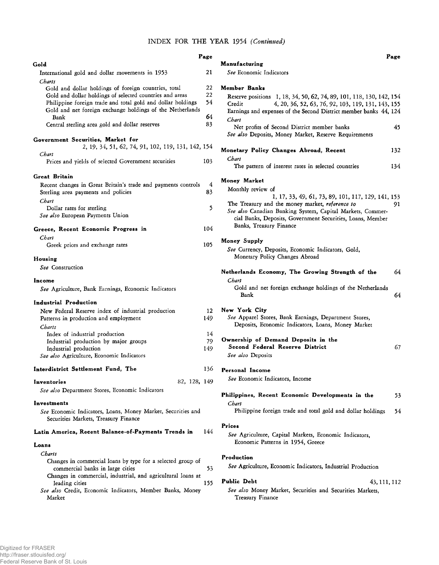#### **INDEX FOR THE YEAR 1954** *(Continued)*

|                                                                                             | Page |                                                                      | Page |
|---------------------------------------------------------------------------------------------|------|----------------------------------------------------------------------|------|
| Gold                                                                                        |      | Manufacturing                                                        |      |
| International gold and dollar movements in 1953                                             | 21   | See Economic Indicators                                              |      |
| Charts                                                                                      |      |                                                                      |      |
| Gold and dollar holdings of foreign countries, total                                        | 22   | Member Banks                                                         |      |
| Gold and dollar holdings of selected countries and areas                                    | 22   | Reserve positions 1, 18, 34, 50, 62, 74, 89, 101, 118, 130, 142, 154 |      |
| Philippine foreign trade and total gold and dollar holdings                                 | 54   | 4, 20, 36, 52, 63, 76, 92, 103, 119, 131, 143, 155<br>Credit         |      |
| Gold and net foreign exchange holdings of the Netherlands<br>Bank                           | 64   | Earnings and expenses of the Second District member banks 44, 124    |      |
| Central sterling area gold and dollar reserves                                              | 83   | Chart                                                                |      |
|                                                                                             |      | Net profits of Second District member banks                          | 45   |
| Government Securities, Market for                                                           |      | See also Deposits, Money Market, Reserve Requirements                |      |
| 2, 19, 34, 51, 62, 74, 91, 102, 119, 131, 142, 154                                          |      |                                                                      |      |
| Chart                                                                                       |      | Monetary Policy Changes Abroad, Recent                               | 132  |
| Prices and yields of selected Government securities                                         | 103  | Chart                                                                |      |
|                                                                                             |      | The pattern of interest rates in selected countries                  | 134  |
| Great Britain                                                                               |      | Money Market                                                         |      |
| Recent changes in Great Britain's trade and payments controls                               | 4    | Monthly review of                                                    |      |
| Sterling area payments and policies                                                         | 83   | 1, 17, 33, 49, 61, 73, 89, 101, 117, 129, 141, 153                   |      |
| Chart                                                                                       |      | The Treasury and the money market, reference to                      | 91   |
| Dollar rates for sterling                                                                   | 5    | See also Canadian Banking System, Capital Markets, Commer-           |      |
| See also European Payments Union                                                            |      | cial Banks, Deposits, Government Securities, Loans, Member           |      |
| Greece, Recent Economic Progress in                                                         | 104  | Banks, Treasury Finance                                              |      |
| Chart                                                                                       |      |                                                                      |      |
| Greek prices and exchange rates                                                             | 105  | Money Supply                                                         |      |
|                                                                                             |      | See Currency, Deposits, Economic Indicators, Gold,                   |      |
| Housing                                                                                     |      | Monetary Policy Changes Abroad                                       |      |
| See Construction                                                                            |      |                                                                      |      |
|                                                                                             |      | Netherlands Economy, The Growing Strength of the                     | 64   |
| Income                                                                                      |      | Chart                                                                |      |
| See Agriculture, Bank Earnings, Economic Indicators                                         |      | Gold and net foreign exchange holdings of the Netherlands            |      |
| Industrial Production                                                                       |      | Bank                                                                 | 64   |
|                                                                                             | 12   | New York City                                                        |      |
| New Federal Reserve index of industrial production<br>Patterns in production and employment | 149  | See Apparel Stores, Bank Earnings, Department Stores,                |      |
|                                                                                             |      | Deposits, Economic Indicators, Loans, Money Market                   |      |
| Charts<br>Index of industrial production                                                    | 14   |                                                                      |      |
| Industrial production by major groups                                                       | 79   | Ownership of Demand Deposits in the                                  |      |
| Industrial production                                                                       | 149  | Second Federal Reserve District                                      | 67   |
| See also Agriculture, Economic Indicators                                                   |      | See also Deposits                                                    |      |
|                                                                                             |      |                                                                      |      |
| Interdistrict Settlement Fund, The                                                          | 136  | Personal Income                                                      |      |
| 82, 128, 149<br>Inventories                                                                 |      | See Economic Indicators, Income                                      |      |
| See also Department Stores, Economic Indicators                                             |      |                                                                      |      |
|                                                                                             |      | Philippines, Recent Economic Developments in the                     | 53   |
| Investments                                                                                 |      | Chart                                                                |      |
| See Economic Indicators, Loans, Money Market, Securities and                                |      | Philippine foreign trade and total gold and dollar holdings          | 54   |
| Securities Markets, Treasury Finance                                                        |      |                                                                      |      |
|                                                                                             |      | Prices                                                               |      |
| Latin America, Recent Balance-of-Payments Trends in                                         | 144  | See Agriculture, Capital Markets, Economic Indicators,               |      |
| Loans                                                                                       |      | Economic Patterns in 1954, Greece                                    |      |
| Charts                                                                                      |      |                                                                      |      |
|                                                                                             |      | Production                                                           |      |
|                                                                                             |      | See Agriculture, Economic Indicators, Industrial Production          |      |
| Changes in commercial loans by type for a selected group of                                 |      |                                                                      |      |
| commercial banks in large cities                                                            | 53   |                                                                      |      |
| Changes in commercial, industrial, and agricultural loans at                                | 155  | <b>Public Debt</b><br>43, 111, 112                                   |      |
| leading cities<br>See also Credit, Economic Indicators, Member Banks, Money                 |      | See also Money Market, Securities and Securities Markets,            |      |